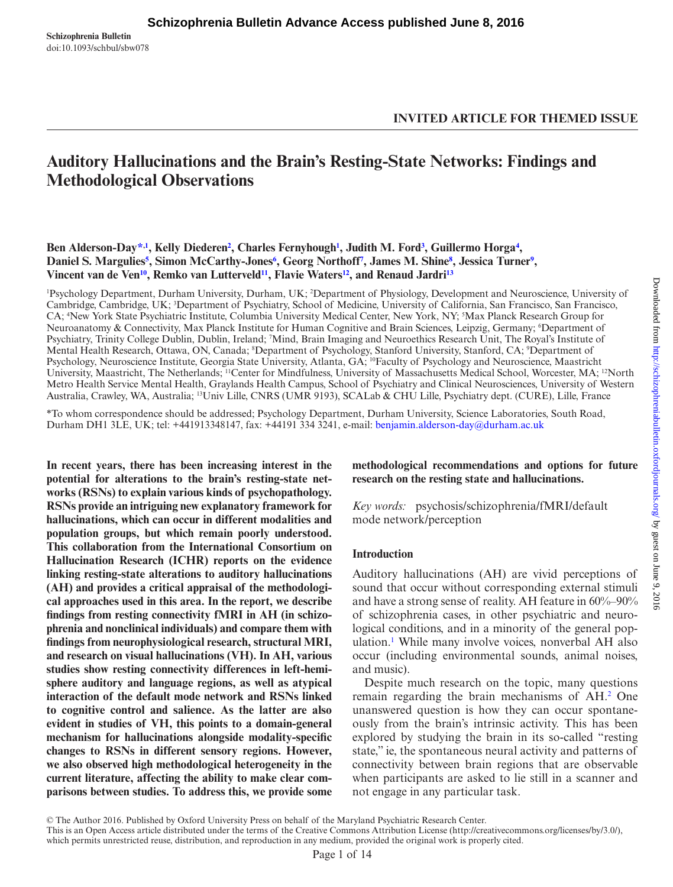# **Auditory Hallucinations and the Brain's Resting-State Networks: Findings and Methodological Observations**

#### Ben Alderson-Day\*<sup>,1</sup>, Kelly Diederen<sup>2</sup>, Charles Fernyhough<sup>1</sup>, Judith M. Ford<sup>3</sup>, Guillermo Horga<sup>4</sup>, Daniel S. Margulies<sup>5</sup>, Simon McCarthy-Jones<sup>6</sup>, Georg Northoff<sup>7</sup>, James M. Shine<sup>8</sup>, Jessica Turner<sup>9</sup>, **Vincent van de Ven10, Remko van Lutterveld11, Flavie Waters12, and Renaud Jardri13**

1 Psychology Department, Durham University, Durham, UK; 2 Department of Physiology, Development and Neuroscience, University of Cambridge, Cambridge, UK; <sup>3</sup>Department of Psychiatry, School of Medicine, University of California, San Francisco, San Francisco, CA; <sup>4</sup>New York State Psychiatric Institute, Columbia University Medical Center, New York, NY; <sup>5</sup>Max Planck Research Group for Neuroanatomy & Connectivity, Max Planck Institute for Human Cognitive and Brain Sciences, Leipzig, Germany; <sup>6</sup>Department of Psychiatry, Trinity College Dublin, Dublin, Ireland; 7 Mind, Brain Imaging and Neuroethics Research Unit, The Royal's Institute of Mental Health Research, Ottawa, ON, Canada; <sup>8</sup>Department of Psychology, Stanford University, Stanford, CA; <sup>9</sup>Department of Psychology, Neuroscience Institute, Georgia State University, Atlanta, GA; 10Faculty of Psychology and Neuroscience, Maastricht University, Maastricht, The Netherlands; 11Center for Mindfulness, University of Massachusetts Medical School, Worcester, MA; 12North Metro Health Service Mental Health, Graylands Health Campus, School of Psychiatry and Clinical Neurosciences, University of Western Australia, Crawley, WA, Australia; 13Univ Lille, CNRS (UMR 9193), SCALab & CHU Lille, Psychiatry dept. (CURE), Lille, France

\*To whom correspondence should be addressed; Psychology Department, Durham University, Science Laboratories, South Road, Durham DH1 3LE, UK; tel: +441913348147, fax: +44191 334 3241, e-mail: benjamin.alderson-day@durham.ac.uk

**In recent years, there has been increasing interest in the potential for alterations to the brain's resting-state networks (RSNs) to explain various kinds of psychopathology. RSNs provide an intriguing new explanatory framework for hallucinations, which can occur in different modalities and population groups, but which remain poorly understood. This collaboration from the International Consortium on Hallucination Research (ICHR) reports on the evidence linking resting-state alterations to auditory hallucinations (AH) and provides a critical appraisal of the methodological approaches used in this area. In the report, we describe findings from resting connectivity fMRI in AH (in schizophrenia and nonclinical individuals) and compare them with findings from neurophysiological research, structural MRI, and research on visual hallucinations (VH). In AH, various studies show resting connectivity differences in left-hemisphere auditory and language regions, as well as atypical interaction of the default mode network and RSNs linked to cognitive control and salience. As the latter are also evident in studies of VH, this points to a domain-general mechanism for hallucinations alongside modality-specific changes to RSNs in different sensory regions. However, we also observed high methodological heterogeneity in the current literature, affecting the ability to make clear comparisons between studies. To address this, we provide some** 

**methodological recommendations and options for future research on the resting state and hallucinations.**

*Key words:* psychosis/schizophrenia/fMRI/default mode network/perception

#### **Introduction**

Auditory hallucinations (AH) are vivid perceptions of sound that occur without corresponding external stimuli and have a strong sense of reality. AH feature in 60%–90% of schizophrenia cases, in other psychiatric and neurological conditions, and in a minority of the general population.1 While many involve voices, nonverbal AH also occur (including environmental sounds, animal noises, and music).

Despite much research on the topic, many questions remain regarding the brain mechanisms of AH.<sup>2</sup> One unanswered question is how they can occur spontaneously from the brain's intrinsic activity. This has been explored by studying the brain in its so-called "resting state," ie, the spontaneous neural activity and patterns of connectivity between brain regions that are observable when participants are asked to lie still in a scanner and not engage in any particular task.

© The Author 2016. Published by Oxford University Press on behalf of the Maryland Psychiatric Research Center.

This is an Open Access article distributed under the terms of the Creative Commons Attribution License (http://creativecommons.org/licenses/by/3.0/), which permits unrestricted reuse, distribution, and reproduction in any medium, provided the original work is properly cited.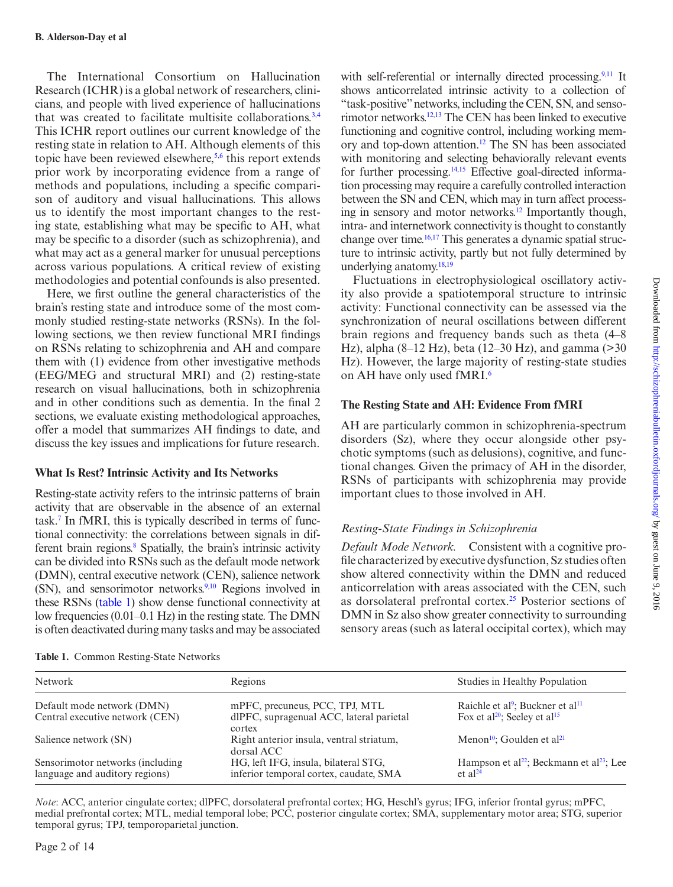The International Consortium on Hallucination Research (ICHR) is a global network of researchers, clinicians, and people with lived experience of hallucinations that was created to facilitate multisite collaborations.3,4 This ICHR report outlines our current knowledge of the resting state in relation to AH. Although elements of this topic have been reviewed elsewhere,<sup>5,6</sup> this report extends prior work by incorporating evidence from a range of methods and populations, including a specific comparison of auditory and visual hallucinations. This allows us to identify the most important changes to the resting state, establishing what may be specific to AH, what may be specific to a disorder (such as schizophrenia), and what may act as a general marker for unusual perceptions across various populations. A critical review of existing methodologies and potential confounds is also presented.

Here, we first outline the general characteristics of the brain's resting state and introduce some of the most commonly studied resting-state networks (RSNs). In the following sections, we then review functional MRI findings on RSNs relating to schizophrenia and AH and compare them with (1) evidence from other investigative methods (EEG/MEG and structural MRI) and (2) resting-state research on visual hallucinations, both in schizophrenia and in other conditions such as dementia. In the final 2 sections, we evaluate existing methodological approaches, offer a model that summarizes AH findings to date, and discuss the key issues and implications for future research.

# **What Is Rest? Intrinsic Activity and Its Networks**

Resting-state activity refers to the intrinsic patterns of brain activity that are observable in the absence of an external task.7 In fMRI, this is typically described in terms of functional connectivity: the correlations between signals in different brain regions.<sup>8</sup> Spatially, the brain's intrinsic activity can be divided into RSNs such as the default mode network (DMN), central executive network (CEN), salience network (SN), and sensorimotor networks.<sup>9,10</sup> Regions involved in these RSNs (table 1) show dense functional connectivity at low frequencies (0.01–0.1 Hz) in the resting state. The DMN is often deactivated during many tasks and may be associated

with self-referential or internally directed processing.<sup>9,11</sup> It shows anticorrelated intrinsic activity to a collection of "task-positive" networks, including the CEN, SN, and sensorimotor networks.12,13 The CEN has been linked to executive functioning and cognitive control, including working memory and top-down attention.12 The SN has been associated with monitoring and selecting behaviorally relevant events for further processing.14,15 Effective goal-directed information processing may require a carefully controlled interaction between the SN and CEN, which may in turn affect processing in sensory and motor networks.12 Importantly though, intra- and internetwork connectivity is thought to constantly change over time.<sup>16,17</sup> This generates a dynamic spatial structure to intrinsic activity, partly but not fully determined by underlying anatomy.18,19

Fluctuations in electrophysiological oscillatory activity also provide a spatiotemporal structure to intrinsic activity: Functional connectivity can be assessed via the synchronization of neural oscillations between different brain regions and frequency bands such as theta (4–8 Hz), alpha (8–12 Hz), beta (12–30 Hz), and gamma (>30 Hz). However, the large majority of resting-state studies on AH have only used fMRI.<sup>6</sup>

# **The Resting State and AH: Evidence From fMRI**

AH are particularly common in schizophrenia-spectrum disorders (Sz), where they occur alongside other psychotic symptoms (such as delusions), cognitive, and functional changes. Given the primacy of AH in the disorder, RSNs of participants with schizophrenia may provide important clues to those involved in AH.

# *Resting-State Findings in Schizophrenia*

*Default Mode Network.* Consistent with a cognitive profile characterized by executive dysfunction, Sz studies often show altered connectivity within the DMN and reduced anticorrelation with areas associated with the CEN, such as dorsolateral prefrontal cortex.25 Posterior sections of DMN in Sz also show greater connectivity to surrounding sensory areas (such as lateral occipital cortex), which may

|  | <b>Table 1.</b> Common Resting-State Networks |  |
|--|-----------------------------------------------|--|

| Network                           | Regions                                                          | Studies in Healthy Population                                    |
|-----------------------------------|------------------------------------------------------------------|------------------------------------------------------------------|
| Default mode network (DMN)        | mPFC, precuneus, PCC, TPJ, MTL                                   | Raichle et al <sup>9</sup> ; Buckner et al <sup>11</sup>         |
| Central executive network (CEN)   | dlPFC, supragenual ACC, lateral parietal                         | Fox et al <sup>20</sup> ; Seeley et al <sup>15</sup>             |
| Salience network (SN)             | cortex<br>Right anterior insula, ventral striatum,<br>dorsal ACC | Menon <sup>10</sup> ; Goulden et al <sup>21</sup>                |
| Sensorimotor networks (including) | HG, left IFG, insula, bilateral STG,                             | Hampson et al <sup>22</sup> ; Beckmann et al <sup>23</sup> ; Lee |
| language and auditory regions)    | inferior temporal cortex, caudate, SMA                           | et $al^{24}$                                                     |

*Note*: ACC, anterior cingulate cortex; dlPFC, dorsolateral prefrontal cortex; HG, Heschl's gyrus; IFG, inferior frontal gyrus; mPFC, medial prefrontal cortex; MTL, medial temporal lobe; PCC, posterior cingulate cortex; SMA, supplementary motor area; STG, superior temporal gyrus; TPJ, temporoparietal junction.

Downloaded from http://schizophreniabulletin.oxfordjournals.org/ by guest on June 9, 2016 by guest on June 9, 2016 http://schizophreniabulletin.oxfordjournals.org/ Downloaded from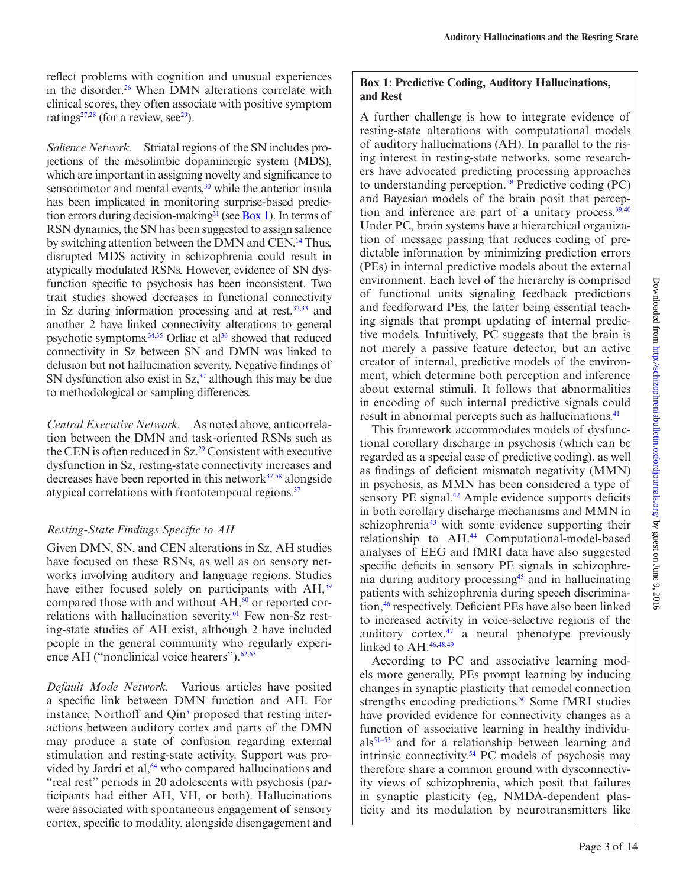reflect problems with cognition and unusual experiences in the disorder.<sup>26</sup> When DMN alterations correlate with clinical scores, they often associate with positive symptom ratings $27,28$  (for a review, see $29$ ).

*Salience Network.* Striatal regions of the SN includes projections of the mesolimbic dopaminergic system (MDS), which are important in assigning novelty and significance to sensorimotor and mental events, $30$  while the anterior insula has been implicated in monitoring surprise-based prediction errors during decision-making $31$  (see Box 1). In terms of RSN dynamics, the SN has been suggested to assign salience by switching attention between the DMN and CEN.<sup>14</sup> Thus, disrupted MDS activity in schizophrenia could result in atypically modulated RSNs. However, evidence of SN dysfunction specific to psychosis has been inconsistent. Two trait studies showed decreases in functional connectivity in Sz during information processing and at rest, $32,33$  and another 2 have linked connectivity alterations to general psychotic symptoms.<sup>34,35</sup> Orliac et al<sup>36</sup> showed that reduced connectivity in Sz between SN and DMN was linked to delusion but not hallucination severity. Negative findings of SN dysfunction also exist in  $Sz<sub>37</sub>$  although this may be due to methodological or sampling differences.

*Central Executive Network.* As noted above, anticorrelation between the DMN and task-oriented RSNs such as the CEN is often reduced in Sz.29 Consistent with executive dysfunction in Sz, resting-state connectivity increases and decreases have been reported in this network $37,58$  alongside atypical correlations with frontotemporal regions.<sup>37</sup>

# *Resting-State Findings Specific to AH*

Given DMN, SN, and CEN alterations in Sz, AH studies have focused on these RSNs, as well as on sensory networks involving auditory and language regions. Studies have either focused solely on participants with AH,<sup>59</sup> compared those with and without  $AH<sub>1</sub><sup>60</sup>$  or reported correlations with hallucination severity.<sup>61</sup> Few non-Sz resting-state studies of AH exist, although 2 have included people in the general community who regularly experience AH ("nonclinical voice hearers").<sup>62,63</sup>

*Default Mode Network.* Various articles have posited a specific link between DMN function and AH. For instance, Northoff and Qin<sup>5</sup> proposed that resting interactions between auditory cortex and parts of the DMN may produce a state of confusion regarding external stimulation and resting-state activity. Support was provided by Jardri et al,<sup>64</sup> who compared hallucinations and "real rest" periods in 20 adolescents with psychosis (participants had either AH, VH, or both). Hallucinations were associated with spontaneous engagement of sensory cortex, specific to modality, alongside disengagement and

# **Box 1: Predictive Coding, Auditory Hallucinations, and Rest**

A further challenge is how to integrate evidence of resting-state alterations with computational models of auditory hallucinations (AH). In parallel to the rising interest in resting-state networks, some researchers have advocated predicting processing approaches to understanding perception.<sup>38</sup> Predictive coding  $(PC)$ and Bayesian models of the brain posit that perception and inference are part of a unitary process.  $39,40$ Under PC, brain systems have a hierarchical organization of message passing that reduces coding of predictable information by minimizing prediction errors (PEs) in internal predictive models about the external environment. Each level of the hierarchy is comprised of functional units signaling feedback predictions and feedforward PEs, the latter being essential teaching signals that prompt updating of internal predictive models. Intuitively, PC suggests that the brain is not merely a passive feature detector, but an active creator of internal, predictive models of the environment, which determine both perception and inference about external stimuli. It follows that abnormalities in encoding of such internal predictive signals could result in abnormal percepts such as hallucinations.<sup>41</sup>

This framework accommodates models of dysfunctional corollary discharge in psychosis (which can be regarded as a special case of predictive coding), as well as findings of deficient mismatch negativity (MMN) in psychosis, as MMN has been considered a type of sensory  $PE$  signal.<sup>42</sup> Ample evidence supports deficits in both corollary discharge mechanisms and MMN in schizophrenia<sup>43</sup> with some evidence supporting their relationship to AH.<sup>44</sup> Computational-model-based analyses of EEG and fMRI data have also suggested specific deficits in sensory PE signals in schizophrenia during auditory processing<sup>45</sup> and in hallucinating patients with schizophrenia during speech discrimination,46 respectively. Deficient PEs have also been linked to increased activity in voice-selective regions of the auditory cortex, $47$  a neural phenotype previously linked to  $AH^{46,48,49}$ .

According to PC and associative learning models more generally, PEs prompt learning by inducing changes in synaptic plasticity that remodel connection strengths encoding predictions.<sup>50</sup> Some fMRI studies have provided evidence for connectivity changes as a function of associative learning in healthy individu $als^{51-53}$  and for a relationship between learning and intrinsic connectivity.<sup>54</sup> PC models of psychosis may therefore share a common ground with dysconnectivity views of schizophrenia, which posit that failures in synaptic plasticity (eg, NMDA-dependent plasticity and its modulation by neurotransmitters like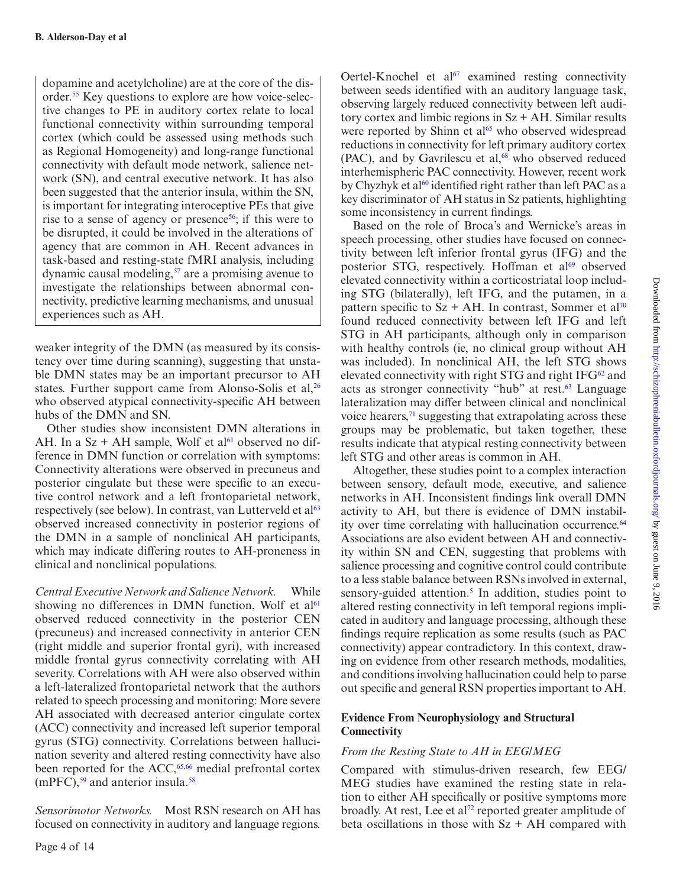dopamine and acetylcholine) are at the core of the disorder.55 Key questions to explore are how voice-selective changes to PE in auditory cortex relate to local functional connectivity within surrounding temporal cortex (which could be assessed using methods such as Regional Homogeneity) and long-range functional connectivity with default mode network, salience network (SN), and central executive network. It has also been suggested that the anterior insula, within the SN, is important for integrating interoceptive PEs that give rise to a sense of agency or presence<sup>56</sup>; if this were to be disrupted, it could be involved in the alterations of agency that are common in AH. Recent advances in task-based and resting-state fMRI analysis, including dynamic causal modeling, $57$  are a promising avenue to investigate the relationships between abnormal connectivity, predictive learning mechanisms, and unusual experiences such as AH.

weaker integrity of the DMN (as measured by its consistency over time during scanning), suggesting that unstable DMN states may be an important precursor to AH states. Further support came from Alonso-Solis et al,<sup>26</sup> who observed atypical connectivity-specific AH between hubs of the DMN and SN.

Other studies show inconsistent DMN alterations in AH. In a  $Sz + AH$  sample, Wolf et al<sup>61</sup> observed no difference in DMN function or correlation with symptoms: Connectivity alterations were observed in precuneus and posterior cingulate but these were specific to an executive control network and a left frontoparietal network, respectively (see below). In contrast, van Lutterveld et al.<sup>63</sup> observed increased connectivity in posterior regions of the DMN in a sample of nonclinical AH participants, which may indicate differing routes to AH-proneness in clinical and nonclinical populations.

*Central Executive Network and Salience Network.* While showing no differences in DMN function, Wolf et  $al<sup>61</sup>$ observed reduced connectivity in the posterior CEN (precuneus) and increased connectivity in anterior CEN (right middle and superior frontal gyri), with increased middle frontal gyrus connectivity correlating with AH severity. Correlations with AH were also observed within a left-lateralized frontoparietal network that the authors related to speech processing and monitoring: More severe AH associated with decreased anterior cingulate cortex (ACC) connectivity and increased left superior temporal gyrus (STG) connectivity. Correlations between hallucination severity and altered resting connectivity have also been reported for the ACC,<sup>65,66</sup> medial prefrontal cortex  $(mPFC)$ ,  $^{59}$  and anterior insula.<sup>58</sup>

*Sensorimotor Networks.* Most RSN research on AH has focused on connectivity in auditory and language regions. Oertel-Knochel et  $al^{67}$  examined resting connectivity between seeds identified with an auditory language task, observing largely reduced connectivity between left auditory cortex and limbic regions in  $Sz + AH$ . Similar results were reported by Shinn et al<sup>65</sup> who observed widespread reductions in connectivity for left primary auditory cortex (PAC), and by Gavrilescu et al,<sup>68</sup> who observed reduced interhemispheric PAC connectivity. However, recent work by Chyzhyk et al<sup>60</sup> identified right rather than left PAC as a key discriminator of AH status in Sz patients, highlighting some inconsistency in current findings.

Based on the role of Broca's and Wernicke's areas in speech processing, other studies have focused on connectivity between left inferior frontal gyrus (IFG) and the posterior STG, respectively. Hoffman et al<sup>69</sup> observed elevated connectivity within a corticostriatal loop including STG (bilaterally), left IFG, and the putamen, in a pattern specific to  $Sz + AH$ . In contrast, Sommer et al<sup>70</sup> found reduced connectivity between left IFG and left STG in AH participants, although only in comparison with healthy controls (ie, no clinical group without AH was included). In nonclinical AH, the left STG shows elevated connectivity with right STG and right IFG $^{62}$  and acts as stronger connectivity "hub" at rest.<sup>63</sup> Language lateralization may differ between clinical and nonclinical voice hearers, $\frac{1}{2}$  suggesting that extrapolating across these groups may be problematic, but taken together, these results indicate that atypical resting connectivity between left STG and other areas is common in AH.

Altogether, these studies point to a complex interaction between sensory, default mode, executive, and salience networks in AH. Inconsistent findings link overall DMN activity to AH, but there is evidence of DMN instability over time correlating with hallucination occurrence.<sup>64</sup> Associations are also evident between AH and connectivity within SN and CEN, suggesting that problems with salience processing and cognitive control could contribute to a less stable balance between RSNs involved in external, sensory-guided attention.<sup>5</sup> In addition, studies point to altered resting connectivity in left temporal regions implicated in auditory and language processing, although these findings require replication as some results (such as PAC connectivity) appear contradictory. In this context, drawing on evidence from other research methods, modalities, and conditions involving hallucination could help to parse out specific and general RSN properties important to AH.

# **Evidence From Neurophysiology and Structural Connectivity**

# *From the Resting State to AH in EEG/MEG*

Compared with stimulus-driven research, few EEG/ MEG studies have examined the resting state in relation to either AH specifically or positive symptoms more broadly. At rest, Lee et al<sup>72</sup> reported greater amplitude of beta oscillations in those with  $Sz + AH$  compared with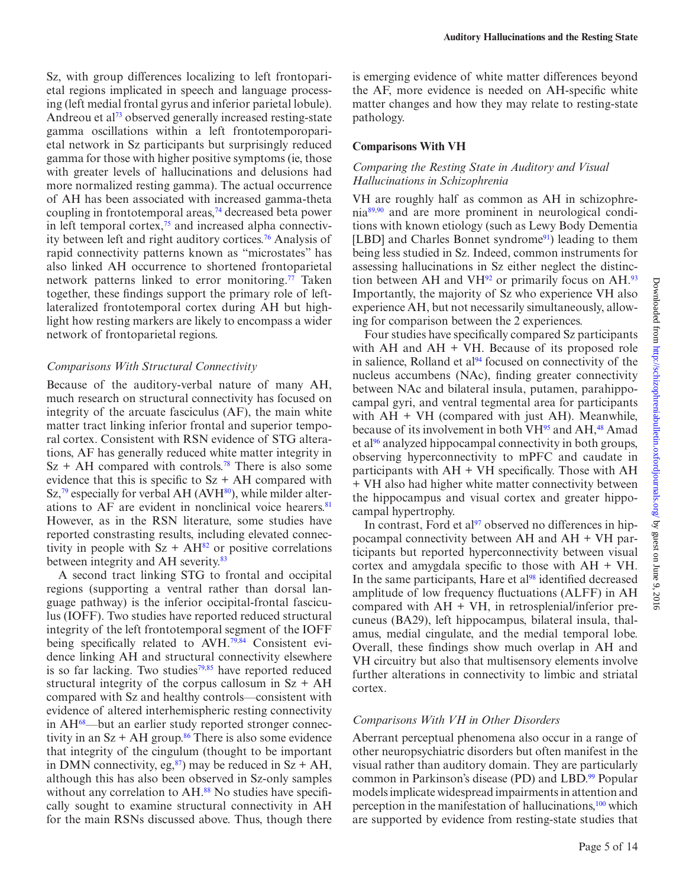Sz, with group differences localizing to left frontoparietal regions implicated in speech and language processing (left medial frontal gyrus and inferior parietal lobule). Andreou et al<sup>73</sup> observed generally increased resting-state gamma oscillations within a left frontotemporoparietal network in Sz participants but surprisingly reduced gamma for those with higher positive symptoms (ie, those with greater levels of hallucinations and delusions had more normalized resting gamma). The actual occurrence of AH has been associated with increased gamma-theta coupling in frontotemporal areas,<sup>74</sup> decreased beta power in left temporal cortex, $75$  and increased alpha connectivity between left and right auditory cortices.76 Analysis of rapid connectivity patterns known as "microstates" has also linked AH occurrence to shortened frontoparietal network patterns linked to error monitoring.<sup>77</sup> Taken together, these findings support the primary role of leftlateralized frontotemporal cortex during AH but highlight how resting markers are likely to encompass a wider network of frontoparietal regions.

#### *Comparisons With Structural Connectivity*

Because of the auditory-verbal nature of many AH, much research on structural connectivity has focused on integrity of the arcuate fasciculus (AF), the main white matter tract linking inferior frontal and superior temporal cortex. Consistent with RSN evidence of STG alterations, AF has generally reduced white matter integrity in  $Sz + AH$  compared with controls.<sup>78</sup> There is also some evidence that this is specific to  $Sz + AH$  compared with  $Sz<sub>1</sub><sup>79</sup>$  especially for verbal AH (AVH $^{80}$ ), while milder alterations to  $AF$  are evident in nonclinical voice hearers. $81$ However, as in the RSN literature, some studies have reported constrasting results, including elevated connectivity in people with  $Sz + AH^{82}$  or positive correlations between integrity and AH severity.<sup>83</sup>

A second tract linking STG to frontal and occipital regions (supporting a ventral rather than dorsal language pathway) is the inferior occipital-frontal fasciculus (IOFF). Two studies have reported reduced structural integrity of the left frontotemporal segment of the IOFF being specifically related to AVH.<sup>79,84</sup> Consistent evidence linking AH and structural connectivity elsewhere is so far lacking. Two studies $79,85$  have reported reduced structural integrity of the corpus callosum in  $Sz + AH$ compared with Sz and healthy controls—consistent with evidence of altered interhemispheric resting connectivity in AH<sup>68</sup>—but an earlier study reported stronger connectivity in an  $Sz + AH$  group.<sup>86</sup> There is also some evidence that integrity of the cingulum (thought to be important in DMN connectivity, eg,<sup>87</sup>) may be reduced in  $Sz + AH$ , although this has also been observed in Sz-only samples without any correlation to AH.<sup>88</sup> No studies have specifically sought to examine structural connectivity in AH for the main RSNs discussed above. Thus, though there is emerging evidence of white matter differences beyond the AF, more evidence is needed on AH-specific white matter changes and how they may relate to resting-state pathology.

#### **Comparisons With VH**

#### *Comparing the Resting State in Auditory and Visual Hallucinations in Schizophrenia*

VH are roughly half as common as AH in schizophrenia89,90 and are more prominent in neurological conditions with known etiology (such as Lewy Body Dementia [LBD] and Charles Bonnet syndrome<sup>91</sup>) leading to them being less studied in Sz. Indeed, common instruments for assessing hallucinations in Sz either neglect the distinction between AH and  $VH<sup>92</sup>$  or primarily focus on AH.<sup>93</sup> Importantly, the majority of Sz who experience VH also experience AH, but not necessarily simultaneously, allowing for comparison between the 2 experiences.

Four studies have specifically compared Sz participants with  $AH$  and  $AH$  + VH. Because of its proposed role in salience, Rolland et  $al<sup>94</sup>$  focused on connectivity of the nucleus accumbens (NAc), finding greater connectivity between NAc and bilateral insula, putamen, parahippocampal gyri, and ventral tegmental area for participants with  $AH + VH$  (compared with just  $AH$ ). Meanwhile, because of its involvement in both  $VH<sup>95</sup>$  and  $AH<sup>48</sup>$  Amad et al<sup>96</sup> analyzed hippocampal connectivity in both groups, observing hyperconnectivity to mPFC and caudate in participants with  $AH + VH$  specifically. Those with  $AH$ + VH also had higher white matter connectivity between the hippocampus and visual cortex and greater hippocampal hypertrophy.

In contrast, Ford et  $al<sup>97</sup>$  observed no differences in hippocampal connectivity between AH and AH + VH participants but reported hyperconnectivity between visual cortex and amygdala specific to those with AH + VH. In the same participants, Hare et  $al<sup>98</sup>$  identified decreased amplitude of low frequency fluctuations (ALFF) in AH compared with  $AH + VH$ , in retrosplenial/inferior precuneus (BA29), left hippocampus, bilateral insula, thalamus, medial cingulate, and the medial temporal lobe. Overall, these findings show much overlap in AH and VH circuitry but also that multisensory elements involve further alterations in connectivity to limbic and striatal cortex.

#### *Comparisons With VH in Other Disorders*

Aberrant perceptual phenomena also occur in a range of other neuropsychiatric disorders but often manifest in the visual rather than auditory domain. They are particularly common in Parkinson's disease (PD) and LBD.<sup>99</sup> Popular models implicate widespread impairments in attention and perception in the manifestation of hallucinations,<sup>100</sup> which are supported by evidence from resting-state studies that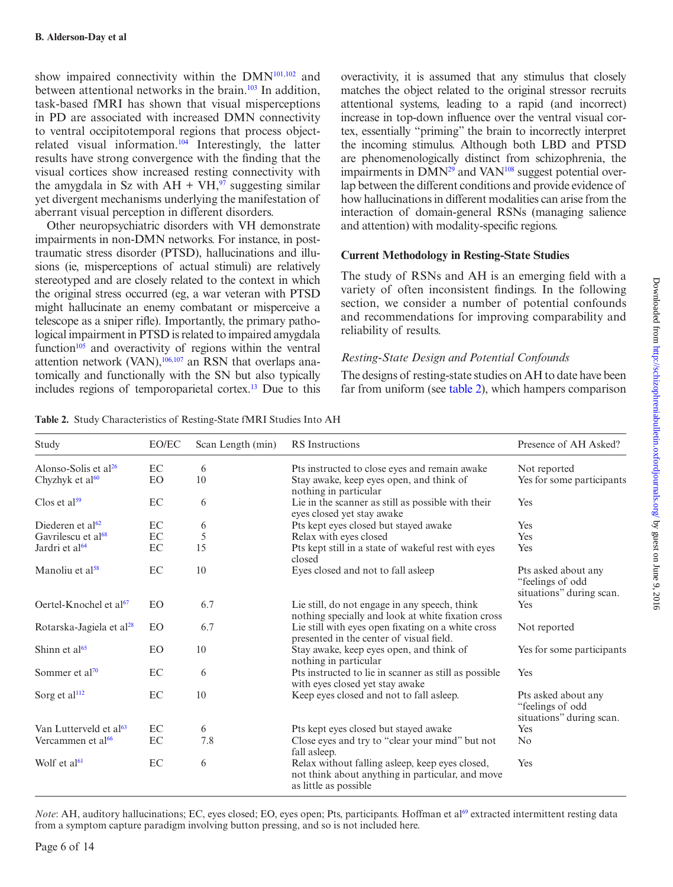show impaired connectivity within the  $DMN^{101,102}$  and between attentional networks in the brain.<sup>103</sup> In addition, task-based fMRI has shown that visual misperceptions in PD are associated with increased DMN connectivity to ventral occipitotemporal regions that process objectrelated visual information.104 Interestingly, the latter results have strong convergence with the finding that the visual cortices show increased resting connectivity with the amygdala in Sz with  $AH + VH<sup>97</sup>$  suggesting similar yet divergent mechanisms underlying the manifestation of aberrant visual perception in different disorders.

Other neuropsychiatric disorders with VH demonstrate impairments in non-DMN networks. For instance, in posttraumatic stress disorder (PTSD), hallucinations and illusions (ie, misperceptions of actual stimuli) are relatively stereotyped and are closely related to the context in which the original stress occurred (eg, a war veteran with PTSD might hallucinate an enemy combatant or misperceive a telescope as a sniper rifle). Importantly, the primary pathological impairment in PTSD is related to impaired amygdala function<sup>105</sup> and overactivity of regions within the ventral attention network (VAN),<sup>106,107</sup> an RSN that overlaps anatomically and functionally with the SN but also typically includes regions of temporoparietal cortex.13 Due to this overactivity, it is assumed that any stimulus that closely matches the object related to the original stressor recruits attentional systems, leading to a rapid (and incorrect) increase in top-down influence over the ventral visual cortex, essentially "priming" the brain to incorrectly interpret the incoming stimulus. Although both LBD and PTSD are phenomenologically distinct from schizophrenia, the impairments in DMN<sup>29</sup> and VAN<sup>108</sup> suggest potential overlap between the different conditions and provide evidence of how hallucinations in different modalities can arise from the interaction of domain-general RSNs (managing salience and attention) with modality-specific regions.

#### **Current Methodology in Resting-State Studies**

The study of RSNs and AH is an emerging field with a variety of often inconsistent findings. In the following section, we consider a number of potential confounds and recommendations for improving comparability and reliability of results.

# *Resting-State Design and Potential Confounds*

The designs of resting-state studies on AH to date have been far from uniform (see table 2), which hampers comparison

**Table 2.** Study Characteristics of Resting-State fMRI Studies Into AH

| Study                                | EO/EC | Scan Length (min) | <b>RS</b> Instructions                                                                                                              | Presence of AH Asked?                                               |
|--------------------------------------|-------|-------------------|-------------------------------------------------------------------------------------------------------------------------------------|---------------------------------------------------------------------|
| Alonso-Solis et $al^{26}$            | EC.   | 6                 | Pts instructed to close eyes and remain awake                                                                                       | Not reported                                                        |
| Chyzhyk et $al60$                    | EO.   | 10                | Stay awake, keep eyes open, and think of<br>nothing in particular                                                                   | Yes for some participants                                           |
| Clos et $al^{59}$                    | EC    | 6                 | Lie in the scanner as still as possible with their<br>eyes closed yet stay awake                                                    | Yes                                                                 |
| Diederen et al $62$                  | EC    | 6                 | Pts kept eyes closed but stayed awake                                                                                               | Yes                                                                 |
| Gavrilescu et al <sup>68</sup>       | EC    | 5                 | Relax with eyes closed                                                                                                              | Yes                                                                 |
| Jardri et al <sup>64</sup>           | EC    | 15                | Pts kept still in a state of wakeful rest with eyes<br>closed                                                                       | Yes                                                                 |
| Manoliu et al <sup>58</sup>          | EC    | 10                | Eyes closed and not to fall asleep                                                                                                  | Pts asked about any<br>"feelings of odd<br>situations" during scan. |
| Oertel-Knochel et al <sup>67</sup>   | EO.   | 6.7               | Lie still, do not engage in any speech, think<br>nothing specially and look at white fixation cross                                 | Yes                                                                 |
| Rotarska-Jagiela et al <sup>28</sup> | EO    | 6.7               | Lie still with eyes open fixating on a white cross<br>presented in the center of visual field.                                      | Not reported                                                        |
| Shinn et $al65$                      | EO    | 10                | Stay awake, keep eyes open, and think of<br>nothing in particular                                                                   | Yes for some participants                                           |
| Sommer et al <sup>70</sup>           | EC    | 6                 | Pts instructed to lie in scanner as still as possible<br>with eyes closed yet stay awake                                            | Yes                                                                 |
| Sorg et al <sup>112</sup>            | EC    | 10                | Keep eyes closed and not to fall asleep.                                                                                            | Pts asked about any<br>"feelings of odd<br>situations" during scan. |
| Van Lutterveld et al <sup>63</sup>   | EC    | 6                 | Pts kept eyes closed but stayed awake                                                                                               | Yes                                                                 |
| Vercammen et al <sup>66</sup>        | EC    | 7.8               | Close eyes and try to "clear your mind" but not<br>fall asleep.                                                                     | N <sub>0</sub>                                                      |
| Wolf et al <sup>61</sup>             | EC    | 6                 | Relax without falling asleep, keep eyes closed,<br>Yes<br>not think about anything in particular, and move<br>as little as possible |                                                                     |

*Note*: AH, auditory hallucinations; EC, eyes closed; EO, eyes open; Pts, participants. Hoffman et al<sup>69</sup> extracted intermittent resting data from a symptom capture paradigm involving button pressing, and so is not included here.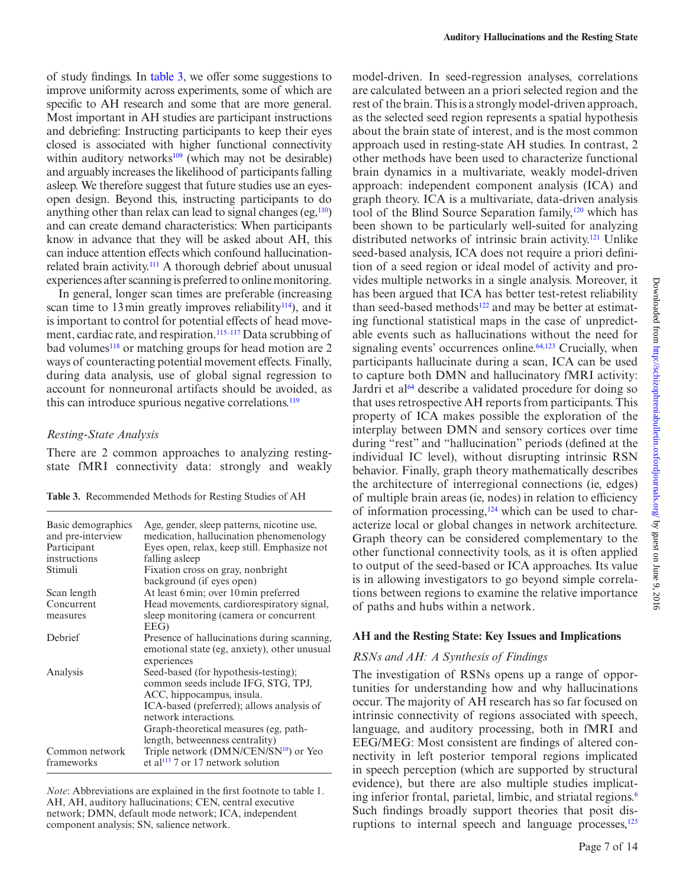of study findings. In table 3, we offer some suggestions to improve uniformity across experiments, some of which are specific to AH research and some that are more general. Most important in AH studies are participant instructions and debriefing: Instructing participants to keep their eyes closed is associated with higher functional connectivity within auditory networks<sup>109</sup> (which may not be desirable) and arguably increases the likelihood of participants falling asleep. We therefore suggest that future studies use an eyesopen design. Beyond this, instructing participants to do anything other than relax can lead to signal changes (eg,  $110$ ) and can create demand characteristics: When participants know in advance that they will be asked about AH, this can induce attention effects which confound hallucinationrelated brain activity.<sup>111</sup> A thorough debrief about unusual experiences after scanning is preferred to online monitoring.

In general, longer scan times are preferable (increasing scan time to 13 min greatly improves reliability<sup>114</sup>), and it is important to control for potential effects of head movement, cardiac rate, and respiration.<sup>115–117</sup> Data scrubbing of bad volumes<sup>118</sup> or matching groups for head motion are 2 ways of counteracting potential movement effects. Finally, during data analysis, use of global signal regression to account for nonneuronal artifacts should be avoided, as this can introduce spurious negative correlations.<sup>119</sup>

#### *Resting-State Analysis*

There are 2 common approaches to analyzing restingstate fMRI connectivity data: strongly and weakly

|  |  |  | Table 3. Recommended Methods for Resting Studies of AH |  |
|--|--|--|--------------------------------------------------------|--|
|--|--|--|--------------------------------------------------------|--|

| Basic demographics<br>and pre-interview<br>Participant<br>instructions<br>Stimuli | Age, gender, sleep patterns, nicotine use,<br>medication, hallucination phenomenology<br>Eyes open, relax, keep still. Emphasize not<br>falling asleep<br>Fixation cross on gray, nonbright<br>background (if eyes open)                                   |
|-----------------------------------------------------------------------------------|------------------------------------------------------------------------------------------------------------------------------------------------------------------------------------------------------------------------------------------------------------|
| Scan length                                                                       | At least 6 min; over 10 min preferred                                                                                                                                                                                                                      |
| Concurrent                                                                        | Head movements, cardiorespiratory signal,                                                                                                                                                                                                                  |
| measures                                                                          | sleep monitoring (camera or concurrent<br>EEG)                                                                                                                                                                                                             |
| Debrief                                                                           | Presence of hallucinations during scanning,<br>emotional state (eg, anxiety), other unusual<br>experiences                                                                                                                                                 |
| Analysis                                                                          | Seed-based (for hypothesis-testing);<br>common seeds include IFG, STG, TPJ,<br>ACC, hippocampus, insula.<br>ICA-based (preferred); allows analysis of<br>network interactions.<br>Graph-theoretical measures (eg. path-<br>length, betweenness centrality) |
| Common network<br>frameworks                                                      | Triple network (DMN/CEN/SN <sup>10</sup> ) or Yeo<br>et al <sup>113</sup> 7 or 17 network solution                                                                                                                                                         |

*Note*: Abbreviations are explained in the first footnote to table 1. AH, AH, auditory hallucinations; CEN, central executive network; DMN, default mode network; ICA, independent component analysis; SN, salience network.

model-driven. In seed-regression analyses, correlations are calculated between an a priori selected region and the rest of the brain. This is a strongly model-driven approach, as the selected seed region represents a spatial hypothesis about the brain state of interest, and is the most common approach used in resting-state AH studies. In contrast, 2 other methods have been used to characterize functional brain dynamics in a multivariate, weakly model-driven approach: independent component analysis (ICA) and graph theory. ICA is a multivariate, data-driven analysis tool of the Blind Source Separation family,<sup>120</sup> which has been shown to be particularly well-suited for analyzing distributed networks of intrinsic brain activity.<sup>121</sup> Unlike seed-based analysis, ICA does not require a priori definition of a seed region or ideal model of activity and provides multiple networks in a single analysis. Moreover, it has been argued that ICA has better test-retest reliability than seed-based methods<sup>122</sup> and may be better at estimating functional statistical maps in the case of unpredictable events such as hallucinations without the need for signaling events' occurrences online.<sup>64,123</sup> Crucially, when participants hallucinate during a scan, ICA can be used to capture both DMN and hallucinatory fMRI activity: Jardri et al<sup>64</sup> describe a validated procedure for doing so that uses retrospective AH reports from participants. This property of ICA makes possible the exploration of the interplay between DMN and sensory cortices over time during "rest" and "hallucination" periods (defined at the individual IC level), without disrupting intrinsic RSN behavior. Finally, graph theory mathematically describes the architecture of interregional connections (ie, edges) of multiple brain areas (ie, nodes) in relation to efficiency of information processing,<sup>124</sup> which can be used to characterize local or global changes in network architecture. Graph theory can be considered complementary to the other functional connectivity tools, as it is often applied to output of the seed-based or ICA approaches. Its value is in allowing investigators to go beyond simple correlations between regions to examine the relative importance of paths and hubs within a network.

#### **AH and the Resting State: Key Issues and Implications**

#### *RSNs and AH: A Synthesis of Findings*

The investigation of RSNs opens up a range of opportunities for understanding how and why hallucinations occur. The majority of AH research has so far focused on intrinsic connectivity of regions associated with speech, language, and auditory processing, both in fMRI and EEG/MEG: Most consistent are findings of altered connectivity in left posterior temporal regions implicated in speech perception (which are supported by structural evidence), but there are also multiple studies implicating inferior frontal, parietal, limbic, and striatal regions.<sup>6</sup> Such findings broadly support theories that posit disruptions to internal speech and language processes, $125$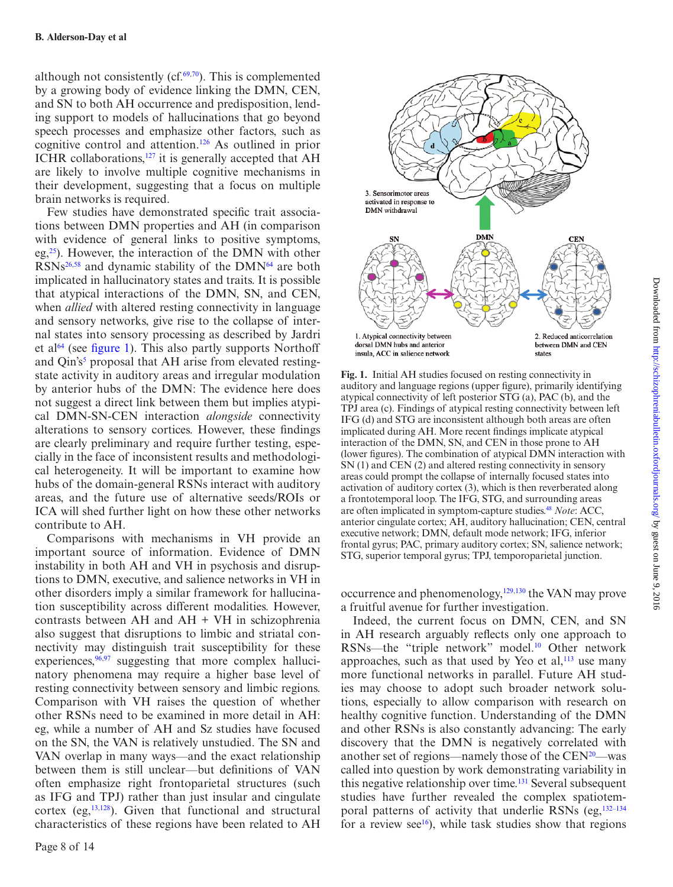although not consistently (cf. $69,70$ ). This is complemented by a growing body of evidence linking the DMN, CEN, and SN to both AH occurrence and predisposition, lending support to models of hallucinations that go beyond speech processes and emphasize other factors, such as cognitive control and attention.126 As outlined in prior ICHR collaborations, $127$  it is generally accepted that AH are likely to involve multiple cognitive mechanisms in their development, suggesting that a focus on multiple brain networks is required.

Few studies have demonstrated specific trait associations between DMN properties and AH (in comparison with evidence of general links to positive symptoms, eg, $25$ ). However, the interaction of the DMN with other RSNs<sup>26,58</sup> and dynamic stability of the DMN<sup>64</sup> are both implicated in hallucinatory states and traits. It is possible that atypical interactions of the DMN, SN, and CEN, when *allied* with altered resting connectivity in language and sensory networks, give rise to the collapse of internal states into sensory processing as described by Jardri et al<sup>64</sup> (see figure 1). This also partly supports Northoff and Qin's<sup>5</sup> proposal that AH arise from elevated restingstate activity in auditory areas and irregular modulation by anterior hubs of the DMN: The evidence here does not suggest a direct link between them but implies atypical DMN-SN-CEN interaction *alongside* connectivity alterations to sensory cortices. However, these findings are clearly preliminary and require further testing, especially in the face of inconsistent results and methodological heterogeneity. It will be important to examine how hubs of the domain-general RSNs interact with auditory areas, and the future use of alternative seeds/ROIs or ICA will shed further light on how these other networks contribute to AH.

Comparisons with mechanisms in VH provide an important source of information. Evidence of DMN instability in both AH and VH in psychosis and disruptions to DMN, executive, and salience networks in VH in other disorders imply a similar framework for hallucination susceptibility across different modalities. However, contrasts between AH and AH + VH in schizophrenia also suggest that disruptions to limbic and striatal connectivity may distinguish trait susceptibility for these experiences,  $96,97$  suggesting that more complex hallucinatory phenomena may require a higher base level of resting connectivity between sensory and limbic regions. Comparison with VH raises the question of whether other RSNs need to be examined in more detail in AH: eg, while a number of AH and Sz studies have focused on the SN, the VAN is relatively unstudied. The SN and VAN overlap in many ways—and the exact relationship between them is still unclear—but definitions of VAN often emphasize right frontoparietal structures (such as IFG and TPJ) rather than just insular and cingulate cortex (eg,  $13,128$ ). Given that functional and structural characteristics of these regions have been related to AH



**Fig. 1.** Initial AH studies focused on resting connectivity in auditory and language regions (upper figure), primarily identifying atypical connectivity of left posterior STG (a), PAC (b), and the TPJ area (c). Findings of atypical resting connectivity between left IFG (d) and STG are inconsistent although both areas are often implicated during AH. More recent findings implicate atypical interaction of the DMN, SN, and CEN in those prone to AH (lower figures). The combination of atypical DMN interaction with SN (1) and CEN (2) and altered resting connectivity in sensory areas could prompt the collapse of internally focused states into activation of auditory cortex (3), which is then reverberated along a frontotemporal loop. The IFG, STG, and surrounding areas are often implicated in symptom-capture studies.48 *Note*: ACC, anterior cingulate cortex; AH, auditory hallucination; CEN, central executive network; DMN, default mode network; IFG, inferior frontal gyrus; PAC, primary auditory cortex; SN, salience network; STG, superior temporal gyrus; TPJ, temporoparietal junction.

occurrence and phenomenology,129,130 the VAN may prove a fruitful avenue for further investigation.

Indeed, the current focus on DMN, CEN, and SN in AH research arguably reflects only one approach to RSNs—the "triple network" model.<sup>10</sup> Other network approaches, such as that used by Yeo et al, $^{113}$  use many more functional networks in parallel. Future AH studies may choose to adopt such broader network solutions, especially to allow comparison with research on healthy cognitive function. Understanding of the DMN and other RSNs is also constantly advancing: The early discovery that the DMN is negatively correlated with another set of regions—namely those of the  $CEN^{20}$ —was called into question by work demonstrating variability in this negative relationship over time.131 Several subsequent studies have further revealed the complex spatiotemporal patterns of activity that underlie RSNs  $(eg, \frac{132-134}{s})$ for a review see<sup>16</sup>), while task studies show that regions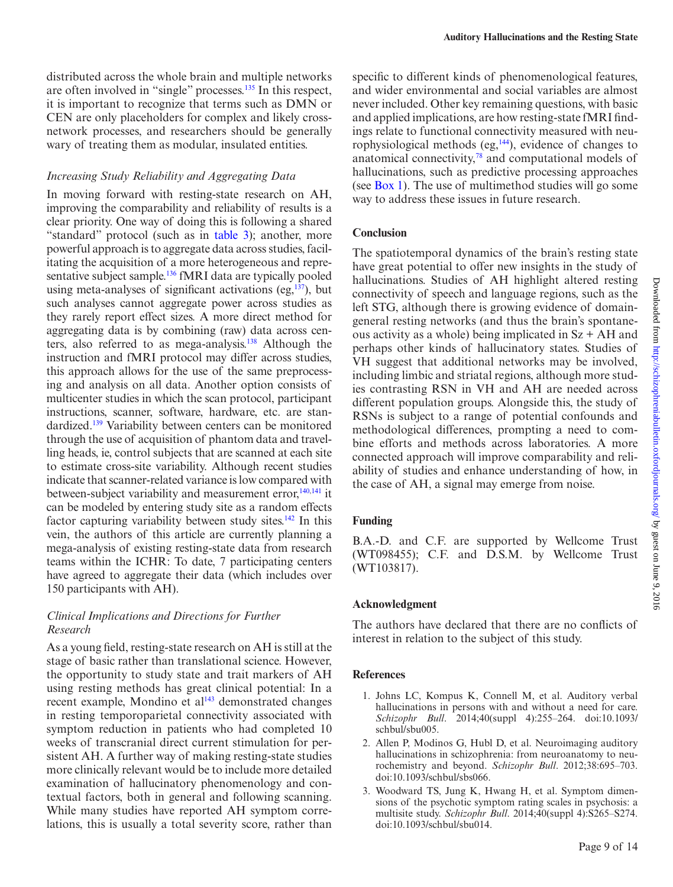distributed across the whole brain and multiple networks are often involved in "single" processes.<sup>135</sup> In this respect, it is important to recognize that terms such as DMN or CEN are only placeholders for complex and likely crossnetwork processes, and researchers should be generally wary of treating them as modular, insulated entities.

#### *Increasing Study Reliability and Aggregating Data*

In moving forward with resting-state research on AH, improving the comparability and reliability of results is a clear priority. One way of doing this is following a shared "standard" protocol (such as in table 3); another, more powerful approach is to aggregate data across studies, facilitating the acquisition of a more heterogeneous and representative subject sample.<sup>136</sup> fMRI data are typically pooled using meta-analyses of significant activations (eg, $^{137}$ ), but such analyses cannot aggregate power across studies as they rarely report effect sizes. A more direct method for aggregating data is by combining (raw) data across centers, also referred to as mega-analysis.<sup>138</sup> Although the instruction and fMRI protocol may differ across studies, this approach allows for the use of the same preprocessing and analysis on all data. Another option consists of multicenter studies in which the scan protocol, participant instructions, scanner, software, hardware, etc. are standardized.139 Variability between centers can be monitored through the use of acquisition of phantom data and travelling heads, ie, control subjects that are scanned at each site to estimate cross-site variability. Although recent studies indicate that scanner-related variance is low compared with between-subject variability and measurement error,<sup>140,141</sup> it can be modeled by entering study site as a random effects factor capturing variability between study sites.<sup>142</sup> In this vein, the authors of this article are currently planning a mega-analysis of existing resting-state data from research teams within the ICHR: To date, 7 participating centers have agreed to aggregate their data (which includes over 150 participants with AH).

#### *Clinical Implications and Directions for Further Research*

As a young field, resting-state research on AH is still at the stage of basic rather than translational science. However, the opportunity to study state and trait markers of AH using resting methods has great clinical potential: In a recent example, Mondino et al<sup>143</sup> demonstrated changes in resting temporoparietal connectivity associated with symptom reduction in patients who had completed 10 weeks of transcranial direct current stimulation for persistent AH. A further way of making resting-state studies more clinically relevant would be to include more detailed examination of hallucinatory phenomenology and contextual factors, both in general and following scanning. While many studies have reported AH symptom correlations, this is usually a total severity score, rather than

specific to different kinds of phenomenological features, and wider environmental and social variables are almost never included. Other key remaining questions, with basic and applied implications, are how resting-state fMRI findings relate to functional connectivity measured with neurophysiological methods (eg, $144$ ), evidence of changes to anatomical connectivity,78 and computational models of hallucinations, such as predictive processing approaches (see  $Box 1$ ). The use of multimethod studies will go some way to address these issues in future research.

#### **Conclusion**

The spatiotemporal dynamics of the brain's resting state have great potential to offer new insights in the study of hallucinations. Studies of AH highlight altered resting connectivity of speech and language regions, such as the left STG, although there is growing evidence of domaingeneral resting networks (and thus the brain's spontaneous activity as a whole) being implicated in  $Sz + AH$  and perhaps other kinds of hallucinatory states. Studies of VH suggest that additional networks may be involved, including limbic and striatal regions, although more studies contrasting RSN in VH and AH are needed across different population groups. Alongside this, the study of RSNs is subject to a range of potential confounds and methodological differences, prompting a need to combine efforts and methods across laboratories. A more connected approach will improve comparability and reliability of studies and enhance understanding of how, in the case of AH, a signal may emerge from noise.

# **Funding**

B.A.-D. and C.F. are supported by Wellcome Trust (WT098455); C.F. and D.S.M. by Wellcome Trust (WT103817).

#### **Acknowledgment**

The authors have declared that there are no conflicts of interest in relation to the subject of this study.

#### **References**

- 1. Johns LC, Kompus K, Connell M, et al. Auditory verbal hallucinations in persons with and without a need for care. *Schizophr Bull*. 2014;40(suppl 4):255–264. doi:10.1093/ schbul/sbu005.
- 2. Allen P, Modinos G, Hubl D, et al. Neuroimaging auditory hallucinations in schizophrenia: from neuroanatomy to neurochemistry and beyond. *Schizophr Bull*. 2012;38:695–703. doi:10.1093/schbul/sbs066.
- 3. Woodward TS, Jung K, Hwang H, et al. Symptom dimensions of the psychotic symptom rating scales in psychosis: a multisite study. *Schizophr Bull*. 2014;40(suppl 4):S265–S274. doi:10.1093/schbul/sbu014.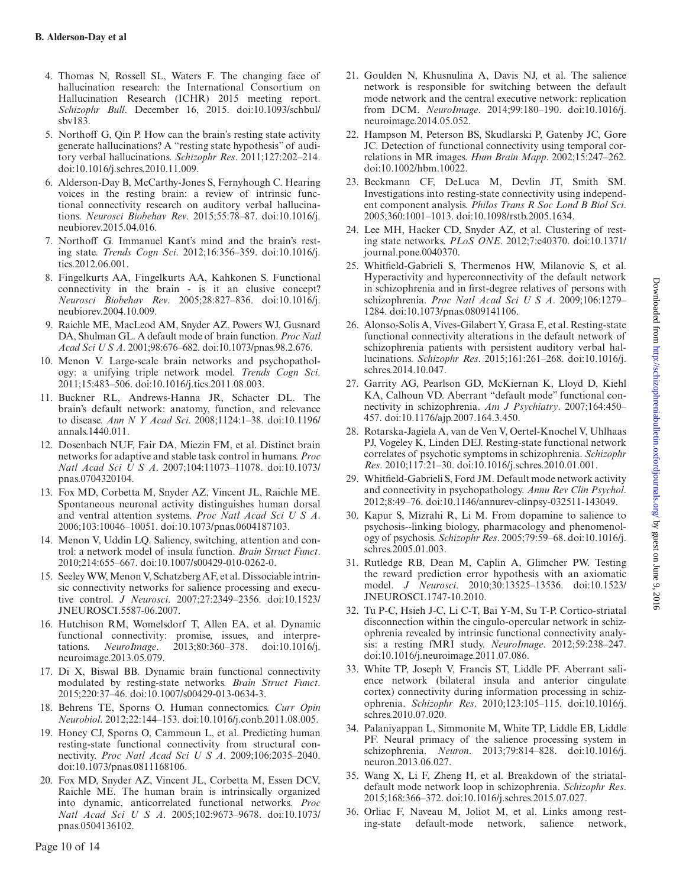- 4. Thomas N, Rossell SL, Waters F. The changing face of hallucination research: the International Consortium on Hallucination Research (ICHR) 2015 meeting report. *Schizophr Bull*. December 16, 2015. doi:10.1093/schbul/ sbv183.
- 5. Northoff G, Qin P. How can the brain's resting state activity generate hallucinations? A "resting state hypothesis" of auditory verbal hallucinations. *Schizophr Res*. 2011;127:202–214. doi:10.1016/j.schres.2010.11.009.
- 6. Alderson-Day B, McCarthy-Jones S, Fernyhough C. Hearing voices in the resting brain: a review of intrinsic functional connectivity research on auditory verbal hallucinations. *Neurosci Biobehav Rev*. 2015;55:78–87. doi:10.1016/j. neubiorev.2015.04.016.
- 7. Northoff G. Immanuel Kant's mind and the brain's resting state. *Trends Cogn Sci*. 2012;16:356–359. doi:10.1016/j. tics.2012.06.001.
- 8. Fingelkurts AA, Fingelkurts AA, Kahkonen S. Functional connectivity in the brain - is it an elusive concept? *Neurosci Biobehav Rev*. 2005;28:827–836. doi:10.1016/j. neubiorev.2004.10.009.
- 9. Raichle ME, MacLeod AM, Snyder AZ, Powers WJ, Gusnard DA, Shulman GL. A default mode of brain function. *Proc Natl Acad Sci U S A*. 2001;98:676–682. doi:10.1073/pnas.98.2.676.
- 10. Menon V. Large-scale brain networks and psychopathology: a unifying triple network model. *Trends Cogn Sci*. 2011;15:483–506. doi:10.1016/j.tics.2011.08.003.
- 11. Buckner RL, Andrews-Hanna JR, Schacter DL. The brain's default network: anatomy, function, and relevance to disease. *Ann N Y Acad Sci*. 2008;1124:1–38. doi:10.1196/ annals.1440.011.
- 12. Dosenbach NUF, Fair DA, Miezin FM, et al. Distinct brain networks for adaptive and stable task control in humans. *Proc Natl Acad Sci U S A*. 2007;104:11073–11078. doi:10.1073/ pnas.0704320104.
- 13. Fox MD, Corbetta M, Snyder AZ, Vincent JL, Raichle ME. Spontaneous neuronal activity distinguishes human dorsal and ventral attention systems. *Proc Natl Acad Sci U S A*. 2006;103:10046–10051. doi:10.1073/pnas.0604187103.
- 14. Menon V, Uddin LQ. Saliency, switching, attention and control: a network model of insula function. *Brain Struct Funct*. 2010;214:655–667. doi:10.1007/s00429-010-0262-0.
- 15. Seeley WW, Menon V, Schatzberg AF, et al. Dissociable intrinsic connectivity networks for salience processing and executive control. *J Neurosci*. 2007;27:2349–2356. doi:10.1523/ JNEUROSCI.5587-06.2007.
- 16. Hutchison RM, Womelsdorf T, Allen EA, et al. Dynamic functional connectivity: promise, issues, and interpretations. *NeuroImage*. 2013;80:360–378. doi:10.1016/j. neuroimage.2013.05.079.
- 17. Di X, Biswal BB. Dynamic brain functional connectivity modulated by resting-state networks. *Brain Struct Funct*. 2015;220:37–46. doi:10.1007/s00429-013-0634-3.
- 18. Behrens TE, Sporns O. Human connectomics. *Curr Opin Neurobiol*. 2012;22:144–153. doi:10.1016/j.conb.2011.08.005.
- 19. Honey CJ, Sporns O, Cammoun L, et al. Predicting human resting-state functional connectivity from structural connectivity. *Proc Natl Acad Sci U S A*. 2009;106:2035–2040. doi:10.1073/pnas.0811168106.
- 20. Fox MD, Snyder AZ, Vincent JL, Corbetta M, Essen DCV, Raichle ME. The human brain is intrinsically organized into dynamic, anticorrelated functional networks. *Proc Natl Acad Sci U S A*. 2005;102:9673–9678. doi:10.1073/ pnas.0504136102.
- 21. Goulden N, Khusnulina A, Davis NJ, et al. The salience network is responsible for switching between the default mode network and the central executive network: replication from DCM. *NeuroImage*. 2014;99:180–190. doi:10.1016/j. neuroimage.2014.05.052.
- 22. Hampson M, Peterson BS, Skudlarski P, Gatenby JC, Gore JC. Detection of functional connectivity using temporal correlations in MR images. *Hum Brain Mapp*. 2002;15:247–262. doi:10.1002/hbm.10022.
- 23. Beckmann CF, DeLuca M, Devlin JT, Smith SM. Investigations into resting-state connectivity using independent component analysis. *Philos Trans R Soc Lond B Biol Sci*. 2005;360:1001–1013. doi:10.1098/rstb.2005.1634.
- 24. Lee MH, Hacker CD, Snyder AZ, et al. Clustering of resting state networks. *PLoS ONE*. 2012;7:e40370. doi:10.1371/ journal.pone.0040370.
- 25. Whitfield-Gabrieli S, Thermenos HW, Milanovic S, et al. Hyperactivity and hyperconnectivity of the default network in schizophrenia and in first-degree relatives of persons with schizophrenia. *Proc Natl Acad Sci U S A*. 2009;106:1279– 1284. doi:10.1073/pnas.0809141106.
- 26. Alonso-Solis A, Vives-Gilabert Y, Grasa E, et al. Resting-state functional connectivity alterations in the default network of schizophrenia patients with persistent auditory verbal hallucinations. *Schizophr Res*. 2015;161:261–268. doi:10.1016/j. schres.2014.10.047.
- 27. Garrity AG, Pearlson GD, McKiernan K, Lloyd D, Kiehl KA, Calhoun VD. Aberrant "default mode" functional connectivity in schizophrenia. *Am J Psychiatry*. 2007;164:450– 457. doi:10.1176/ajp.2007.164.3.450.
- 28. Rotarska-Jagiela A, van de Ven V, Oertel-Knochel V, Uhlhaas PJ, Vogeley K, Linden DEJ. Resting-state functional network correlates of psychotic symptoms in schizophrenia. *Schizophr Res*. 2010;117:21–30. doi:10.1016/j.schres.2010.01.001.
- 29. Whitfield-Gabrieli S, Ford JM. Default mode network activity and connectivity in psychopathology. *Annu Rev Clin Psychol*. 2012;8:49–76. doi:10.1146/annurev-clinpsy-032511-143049.
- 30. Kapur S, Mizrahi R, Li M. From dopamine to salience to psychosis--linking biology, pharmacology and phenomenology of psychosis. *Schizophr Res*. 2005;79:59–68. doi:10.1016/j. schres.2005.01.003.
- 31. Rutledge RB, Dean M, Caplin A, Glimcher PW. Testing the reward prediction error hypothesis with an axiomatic model. *J Neurosci*. 2010;30:13525–13536. doi:10.1523/ JNEUROSCI.1747-10.2010.
- 32. Tu P-C, Hsieh J-C, Li C-T, Bai Y-M, Su T-P. Cortico-striatal disconnection within the cingulo-opercular network in schizophrenia revealed by intrinsic functional connectivity analysis: a resting fMRI study. *NeuroImage*. 2012;59:238–247. doi:10.1016/j.neuroimage.2011.07.086.
- 33. White TP, Joseph V, Francis ST, Liddle PF. Aberrant salience network (bilateral insula and anterior cingulate cortex) connectivity during information processing in schizophrenia. *Schizophr Res*. 2010;123:105–115. doi:10.1016/j. schres.2010.07.020.
- 34. Palaniyappan L, Simmonite M, White TP, Liddle EB, Liddle PF. Neural primacy of the salience processing system in schizophrenia. *Neuron*. 2013;79:814–828. doi:10.1016/j. neuron.2013.06.027.
- 35. Wang X, Li F, Zheng H, et al. Breakdown of the striataldefault mode network loop in schizophrenia. *Schizophr Res*. 2015;168:366–372. doi:10.1016/j.schres.2015.07.027.
- 36. Orliac F, Naveau M, Joliot M, et al. Links among resting-state default-mode network, salience network,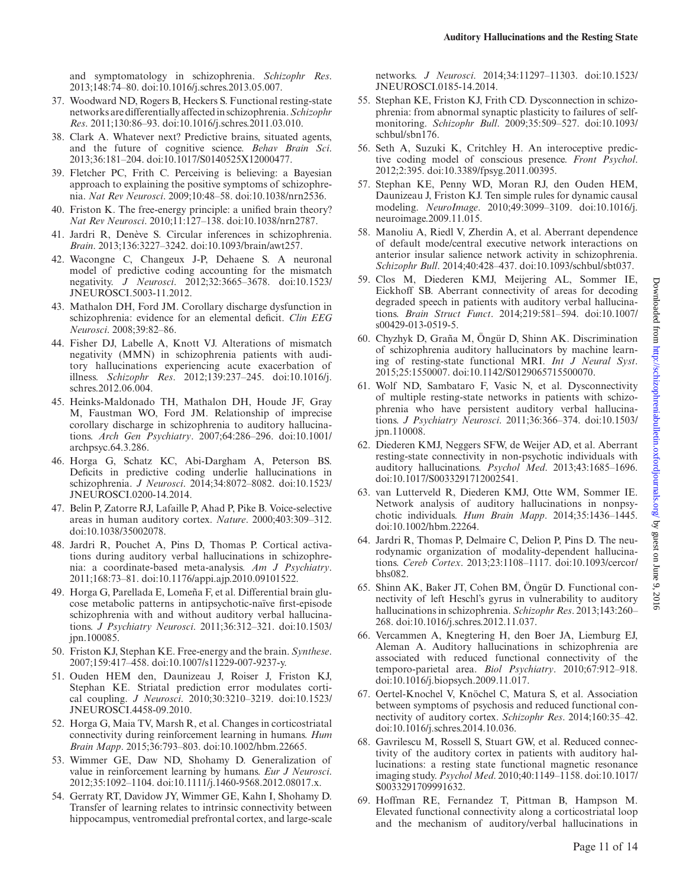and symptomatology in schizophrenia. *Schizophr Res*. 2013;148:74–80. doi:10.1016/j.schres.2013.05.007.

- 37. Woodward ND, Rogers B, Heckers S. Functional resting-state networks are differentially affected in schizophrenia. *Schizophr Res*. 2011;130:86–93. doi:10.1016/j.schres.2011.03.010.
- 38. Clark A. Whatever next? Predictive brains, situated agents, and the future of cognitive science. *Behav Brain Sci*. 2013;36:181–204. doi:10.1017/S0140525X12000477.
- 39. Fletcher PC, Frith C. Perceiving is believing: a Bayesian approach to explaining the positive symptoms of schizophrenia. *Nat Rev Neurosci*. 2009;10:48–58. doi:10.1038/nrn2536.
- 40. Friston K. The free-energy principle: a unified brain theory? *Nat Rev Neurosci*. 2010;11:127–138. doi:10.1038/nrn2787.
- 41. Jardri R, Denève S. Circular inferences in schizophrenia. *Brain*. 2013;136:3227–3242. doi:10.1093/brain/awt257.
- 42. Wacongne C, Changeux J-P, Dehaene S. A neuronal model of predictive coding accounting for the mismatch negativity. *J Neurosci*. 2012;32:3665–3678. doi:10.1523/ JNEUROSCI.5003-11.2012.
- 43. Mathalon DH, Ford JM. Corollary discharge dysfunction in schizophrenia: evidence for an elemental deficit. *Clin EEG Neurosci*. 2008;39:82–86.
- 44. Fisher DJ, Labelle A, Knott VJ. Alterations of mismatch negativity (MMN) in schizophrenia patients with auditory hallucinations experiencing acute exacerbation of illness. *Schizophr Res*. 2012;139:237–245. doi:10.1016/j. schres.2012.06.004.
- 45. Heinks-Maldonado TH, Mathalon DH, Houde JF, Gray M, Faustman WO, Ford JM. Relationship of imprecise corollary discharge in schizophrenia to auditory hallucinations. *Arch Gen Psychiatry*. 2007;64:286–296. doi:10.1001/ archpsyc.64.3.286.
- 46. Horga G, Schatz KC, Abi-Dargham A, Peterson BS. Deficits in predictive coding underlie hallucinations in schizophrenia. *J Neurosci*. 2014;34:8072–8082. doi:10.1523/ JNEUROSCI.0200-14.2014.
- 47. Belin P, Zatorre RJ, Lafaille P, Ahad P, Pike B. Voice-selective areas in human auditory cortex. *Nature*. 2000;403:309–312. doi:10.1038/35002078.
- 48. Jardri R, Pouchet A, Pins D, Thomas P. Cortical activations during auditory verbal hallucinations in schizophrenia: a coordinate-based meta-analysis. *Am J Psychiatry*. 2011;168:73–81. doi:10.1176/appi.ajp.2010.09101522.
- 49. Horga G, Parellada E, Lomeña F, et al. Differential brain glucose metabolic patterns in antipsychotic-naïve first-episode schizophrenia with and without auditory verbal hallucinations. *J Psychiatry Neurosci*. 2011;36:312–321. doi:10.1503/ jpn.100085.
- 50. Friston KJ, Stephan KE. Free-energy and the brain. *Synthese*. 2007;159:417–458. doi:10.1007/s11229-007-9237-y.
- 51. Ouden HEM den, Daunizeau J, Roiser J, Friston KJ, Stephan KE. Striatal prediction error modulates cortical coupling. *J Neurosci*. 2010;30:3210–3219. doi:10.1523/ JNEUROSCI.4458-09.2010.
- 52. Horga G, Maia TV, Marsh R, et al. Changes in corticostriatal connectivity during reinforcement learning in humans. *Hum Brain Mapp*. 2015;36:793–803. doi:10.1002/hbm.22665.
- 53. Wimmer GE, Daw ND, Shohamy D. Generalization of value in reinforcement learning by humans. *Eur J Neurosci*. 2012;35:1092–1104. doi:10.1111/j.1460-9568.2012.08017.x.
- 54. Gerraty RT, Davidow JY, Wimmer GE, Kahn I, Shohamy D. Transfer of learning relates to intrinsic connectivity between hippocampus, ventromedial prefrontal cortex, and large-scale

networks. *J Neurosci*. 2014;34:11297–11303. doi:10.1523/ JNEUROSCI.0185-14.2014.

- 55. Stephan KE, Friston KJ, Frith CD. Dysconnection in schizophrenia: from abnormal synaptic plasticity to failures of selfmonitoring. *Schizophr Bull*. 2009;35:509–527. doi:10.1093/ schbul/sbn176.
- 56. Seth A, Suzuki K, Critchley H. An interoceptive predictive coding model of conscious presence. *Front Psychol*. 2012;2:395. doi:10.3389/fpsyg.2011.00395.
- 57. Stephan KE, Penny WD, Moran RJ, den Ouden HEM, Daunizeau J, Friston KJ. Ten simple rules for dynamic causal modeling. *NeuroImage*. 2010;49:3099–3109. doi:10.1016/j. neuroimage.2009.11.015.
- 58. Manoliu A, Riedl V, Zherdin A, et al. Aberrant dependence of default mode/central executive network interactions on anterior insular salience network activity in schizophrenia. *Schizophr Bull*. 2014;40:428–437. doi:10.1093/schbul/sbt037.
- 59. Clos M, Diederen KMJ, Meijering AL, Sommer IE, Eickhoff SB. Aberrant connectivity of areas for decoding degraded speech in patients with auditory verbal hallucinations. *Brain Struct Funct*. 2014;219:581–594. doi:10.1007/ s00429-013-0519-5.
- 60. Chyzhyk D, Graña M, Öngür D, Shinn AK. Discrimination of schizophrenia auditory hallucinators by machine learning of resting-state functional MRI. *Int J Neural Syst*. 2015;25:1550007. doi:10.1142/S0129065715500070.
- 61. Wolf ND, Sambataro F, Vasic N, et al. Dysconnectivity of multiple resting-state networks in patients with schizophrenia who have persistent auditory verbal hallucinations. *J Psychiatry Neurosci*. 2011;36:366–374. doi:10.1503/ jpn.110008.
- 62. Diederen KMJ, Neggers SFW, de Weijer AD, et al. Aberrant resting-state connectivity in non-psychotic individuals with auditory hallucinations. *Psychol Med*. 2013;43:1685–1696. doi:10.1017/S0033291712002541.
- 63. van Lutterveld R, Diederen KMJ, Otte WM, Sommer IE. Network analysis of auditory hallucinations in nonpsychotic individuals. *Hum Brain Mapp*. 2014;35:1436–1445. doi:10.1002/hbm.22264.
- 64. Jardri R, Thomas P, Delmaire C, Delion P, Pins D. The neurodynamic organization of modality-dependent hallucinations. *Cereb Cortex*. 2013;23:1108–1117. doi:10.1093/cercor/ bhs082.
- 65. Shinn AK, Baker JT, Cohen BM, Öngür D. Functional connectivity of left Heschl's gyrus in vulnerability to auditory hallucinations in schizophrenia. *Schizophr Res*. 2013;143:260– 268. doi:10.1016/j.schres.2012.11.037.
- 66. Vercammen A, Knegtering H, den Boer JA, Liemburg EJ, Aleman A. Auditory hallucinations in schizophrenia are associated with reduced functional connectivity of the temporo-parietal area. *Biol Psychiatry*. 2010;67:912–918. doi:10.1016/j.biopsych.2009.11.017.
- 67. Oertel-Knochel V, Knöchel C, Matura S, et al. Association between symptoms of psychosis and reduced functional connectivity of auditory cortex. *Schizophr Res*. 2014;160:35–42. doi:10.1016/j.schres.2014.10.036.
- 68. Gavrilescu M, Rossell S, Stuart GW, et al. Reduced connectivity of the auditory cortex in patients with auditory hallucinations: a resting state functional magnetic resonance imaging study. *Psychol Med*. 2010;40:1149–1158. doi:10.1017/ S0033291709991632.
- 69. Hoffman RE, Fernandez T, Pittman B, Hampson M. Elevated functional connectivity along a corticostriatal loop and the mechanism of auditory/verbal hallucinations in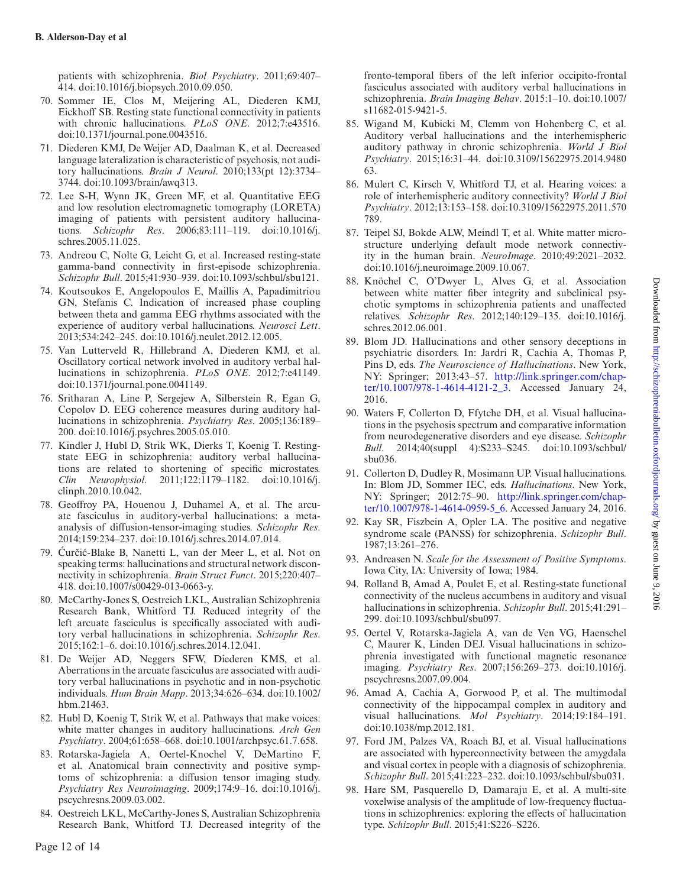patients with schizophrenia. *Biol Psychiatry*. 2011;69:407– 414. doi:10.1016/j.biopsych.2010.09.050.

- 70. Sommer IE, Clos M, Meijering AL, Diederen KMJ, Eickhoff SB. Resting state functional connectivity in patients with chronic hallucinations. *PLoS ONE*. 2012;7:e43516. doi:10.1371/journal.pone.0043516.
- 71. Diederen KMJ, De Weijer AD, Daalman K, et al. Decreased language lateralization is characteristic of psychosis, not auditory hallucinations. *Brain J Neurol*. 2010;133(pt 12):3734– 3744. doi:10.1093/brain/awq313.
- 72. Lee S-H, Wynn JK, Green MF, et al. Quantitative EEG and low resolution electromagnetic tomography (LORETA) imaging of patients with persistent auditory hallucinations. *Schizophr Res*. 2006;83:111–119. doi:10.1016/j. schres.2005.11.025.
- 73. Andreou C, Nolte G, Leicht G, et al. Increased resting-state gamma-band connectivity in first-episode schizophrenia. *Schizophr Bull*. 2015;41:930–939. doi:10.1093/schbul/sbu121.
- 74. Koutsoukos E, Angelopoulos E, Maillis A, Papadimitriou GN, Stefanis C. Indication of increased phase coupling between theta and gamma EEG rhythms associated with the experience of auditory verbal hallucinations. *Neurosci Lett*. 2013;534:242–245. doi:10.1016/j.neulet.2012.12.005.
- 75. Van Lutterveld R, Hillebrand A, Diederen KMJ, et al. Oscillatory cortical network involved in auditory verbal hallucinations in schizophrenia. *PLoS ONE*. 2012;7:e41149. doi:10.1371/journal.pone.0041149.
- 76. Sritharan A, Line P, Sergejew A, Silberstein R, Egan G, Copolov D. EEG coherence measures during auditory hallucinations in schizophrenia. *Psychiatry Res*. 2005;136:189– 200. doi:10.1016/j.psychres.2005.05.010.
- 77. Kindler J, Hubl D, Strik WK, Dierks T, Koenig T. Restingstate EEG in schizophrenia: auditory verbal hallucinations are related to shortening of specific microstates. *Clin Neurophysiol*. 2011;122:1179–1182. doi:10.1016/j. clinph.2010.10.042.
- 78. Geoffroy PA, Houenou J, Duhamel A, et al. The arcuate fasciculus in auditory-verbal hallucinations: a metaanalysis of diffusion-tensor-imaging studies. *Schizophr Res*. 2014;159:234–237. doi:10.1016/j.schres.2014.07.014.
- 79. Ćurčić-Blake B, Nanetti L, van der Meer L, et al. Not on speaking terms: hallucinations and structural network disconnectivity in schizophrenia. *Brain Struct Funct*. 2015;220:407– 418. doi:10.1007/s00429-013-0663-y.
- 80. McCarthy-Jones S, Oestreich LKL, Australian Schizophrenia Research Bank, Whitford TJ. Reduced integrity of the left arcuate fasciculus is specifically associated with auditory verbal hallucinations in schizophrenia. *Schizophr Res*. 2015;162:1–6. doi:10.1016/j.schres.2014.12.041.
- 81. De Weijer AD, Neggers SFW, Diederen KMS, et al. Aberrations in the arcuate fasciculus are associated with auditory verbal hallucinations in psychotic and in non-psychotic individuals. *Hum Brain Mapp*. 2013;34:626–634. doi:10.1002/ hbm.21463.
- 82. Hubl D, Koenig T, Strik W, et al. Pathways that make voices: white matter changes in auditory hallucinations. *Arch Gen Psychiatry*. 2004;61:658–668. doi:10.1001/archpsyc.61.7.658.
- 83. Rotarska-Jagiela A, Oertel-Knochel V, DeMartino F, et al. Anatomical brain connectivity and positive symptoms of schizophrenia: a diffusion tensor imaging study. *Psychiatry Res Neuroimaging*. 2009;174:9–16. doi:10.1016/j. pscychresns.2009.03.002.
- 84. Oestreich LKL, McCarthy-Jones S, Australian Schizophrenia Research Bank, Whitford TJ. Decreased integrity of the

fronto-temporal fibers of the left inferior occipito-frontal fasciculus associated with auditory verbal hallucinations in schizophrenia. *Brain Imaging Behav*. 2015:1–10. doi:10.1007/ s11682-015-9421-5.

- 85. Wigand M, Kubicki M, Clemm von Hohenberg C, et al. Auditory verbal hallucinations and the interhemispheric auditory pathway in chronic schizophrenia. *World J Biol Psychiatry*. 2015;16:31–44. doi:10.3109/15622975.2014.9480 63.
- 86. Mulert C, Kirsch V, Whitford TJ, et al. Hearing voices: a role of interhemispheric auditory connectivity? *World J Biol Psychiatry*. 2012;13:153–158. doi:10.3109/15622975.2011.570 789.
- 87. Teipel SJ, Bokde ALW, Meindl T, et al. White matter microstructure underlying default mode network connectivity in the human brain. *NeuroImage*. 2010;49:2021–2032. doi:10.1016/j.neuroimage.2009.10.067.
- 88. Knöchel C, O'Dwyer L, Alves G, et al. Association between white matter fiber integrity and subclinical psychotic symptoms in schizophrenia patients and unaffected relatives. *Schizophr Res*. 2012;140:129–135. doi:10.1016/j. schres.2012.06.001.
- 89. Blom JD. Hallucinations and other sensory deceptions in psychiatric disorders. In: Jardri R, Cachia A, Thomas P, Pins D, eds. *The Neuroscience of Hallucinations*. New York, NY: Springer; 2013:43–57. http://link.springer.com/chapter/10.1007/978-1-4614-4121-2\_3. Accessed January 24, 2016.
- 90. Waters F, Collerton D, Ffytche DH, et al. Visual hallucinations in the psychosis spectrum and comparative information from neurodegenerative disorders and eye disease. *Schizophr Bull*. 2014;40(suppl 4):S233–S245. doi:10.1093/schbul/ sbu036.
- 91. Collerton D, Dudley R, Mosimann UP. Visual hallucinations. In: Blom JD, Sommer IEC, eds. *Hallucinations*. New York, NY: Springer; 2012:75–90. http://link.springer.com/chapter/10.1007/978-1-4614-0959-5\_6. Accessed January 24, 2016.
- 92. Kay SR, Fiszbein A, Opler LA. The positive and negative syndrome scale (PANSS) for schizophrenia. *Schizophr Bull*. 1987;13:261–276.
- 93. Andreasen N. *Scale for the Assessment of Positive Symptoms*. Iowa City, IA: University of Iowa; 1984.
- 94. Rolland B, Amad A, Poulet E, et al. Resting-state functional connectivity of the nucleus accumbens in auditory and visual hallucinations in schizophrenia. *Schizophr Bull*. 2015;41:291– 299. doi:10.1093/schbul/sbu097.
- 95. Oertel V, Rotarska-Jagiela A, van de Ven VG, Haenschel C, Maurer K, Linden DEJ. Visual hallucinations in schizophrenia investigated with functional magnetic resonance imaging. *Psychiatry Res*. 2007;156:269–273. doi:10.1016/j. pscychresns.2007.09.004.
- 96. Amad A, Cachia A, Gorwood P, et al. The multimodal connectivity of the hippocampal complex in auditory and visual hallucinations. *Mol Psychiatry*. 2014;19:184–191. doi:10.1038/mp.2012.181.
- 97. Ford JM, Palzes VA, Roach BJ, et al. Visual hallucinations are associated with hyperconnectivity between the amygdala and visual cortex in people with a diagnosis of schizophrenia. *Schizophr Bull*. 2015;41:223–232. doi:10.1093/schbul/sbu031.
- 98. Hare SM, Pasquerello D, Damaraju E, et al. A multi-site voxelwise analysis of the amplitude of low-frequency fluctuations in schizophrenics: exploring the effects of hallucination type. *Schizophr Bull*. 2015;41:S226–S226.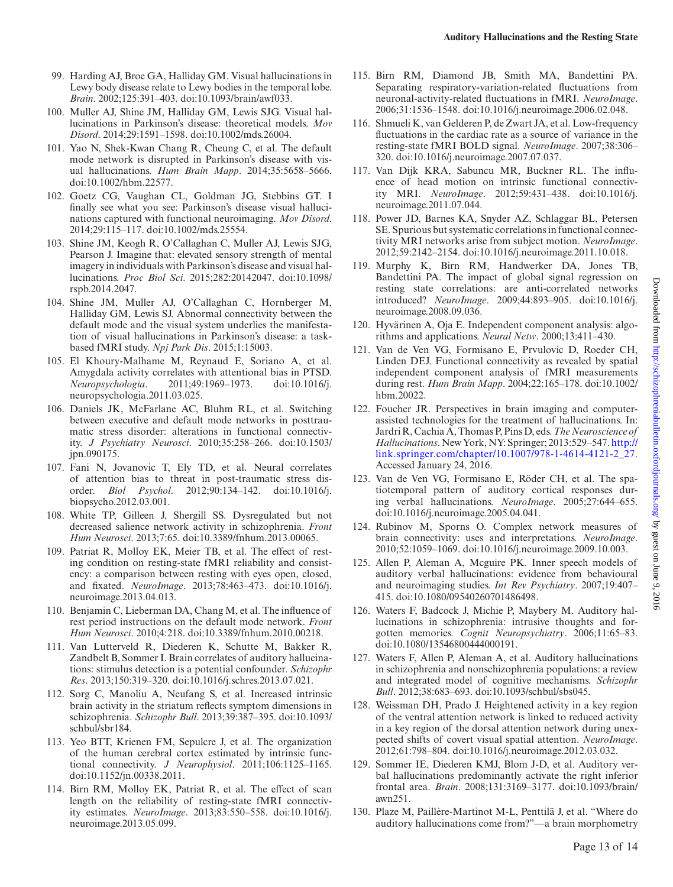- 99. Harding AJ, Broe GA, Halliday GM. Visual hallucinations in Lewy body disease relate to Lewy bodies in the temporal lobe. *Brain*. 2002;125:391–403. doi:10.1093/brain/awf033.
- 100. Muller AJ, Shine JM, Halliday GM, Lewis SJG. Visual hallucinations in Parkinson's disease: theoretical models. *Mov Disord*. 2014;29:1591–1598. doi:10.1002/mds.26004.
- 101. Yao N, Shek-Kwan Chang R, Cheung C, et al. The default mode network is disrupted in Parkinson's disease with visual hallucinations. *Hum Brain Mapp*. 2014;35:5658–5666. doi:10.1002/hbm.22577.
- 102. Goetz CG, Vaughan CL, Goldman JG, Stebbins GT. I finally see what you see: Parkinson's disease visual hallucinations captured with functional neuroimaging. *Mov Disord*. 2014;29:115–117. doi:10.1002/mds.25554.
- 103. Shine JM, Keogh R, O'Callaghan C, Muller AJ, Lewis SJG, Pearson J. Imagine that: elevated sensory strength of mental imagery in individuals with Parkinson's disease and visual hallucinations. *Proc Biol Sci*. 2015;282:20142047. doi:10.1098/ rspb.2014.2047.
- 104. Shine JM, Muller AJ, O'Callaghan C, Hornberger M, Halliday GM, Lewis SJ. Abnormal connectivity between the default mode and the visual system underlies the manifestation of visual hallucinations in Parkinson's disease: a taskbased fMRI study. *Npj Park Dis*. 2015;1:15003.
- 105. El Khoury-Malhame M, Reynaud E, Soriano A, et al. Amygdala activity correlates with attentional bias in PTSD. *Neuropsychologia*. 2011;49:1969–1973. doi:10.1016/j. neuropsychologia.2011.03.025.
- 106. Daniels JK, McFarlane AC, Bluhm RL, et al. Switching between executive and default mode networks in posttraumatic stress disorder: alterations in functional connectivity. *J Psychiatry Neurosci*. 2010;35:258–266. doi:10.1503/ jpn.090175.
- 107. Fani N, Jovanovic T, Ely TD, et al. Neural correlates of attention bias to threat in post-traumatic stress disorder. *Biol Psychol*. 2012;90:134–142. doi:10.1016/j. biopsycho.2012.03.001.
- 108. White TP, Gilleen J, Shergill SS. Dysregulated but not decreased salience network activity in schizophrenia. *Front Hum Neurosci*. 2013;7:65. doi:10.3389/fnhum.2013.00065.
- 109. Patriat R, Molloy EK, Meier TB, et al. The effect of resting condition on resting-state fMRI reliability and consistency: a comparison between resting with eyes open, closed, and fixated. *NeuroImage*. 2013;78:463–473. doi:10.1016/j. neuroimage.2013.04.013.
- 110. Benjamin C, Lieberman DA, Chang M, et al. The influence of rest period instructions on the default mode network. *Front Hum Neurosci*. 2010;4:218. doi:10.3389/fnhum.2010.00218.
- 111. Van Lutterveld R, Diederen K, Schutte M, Bakker R, Zandbelt B, Sommer I. Brain correlates of auditory hallucinations: stimulus detection is a potential confounder. *Schizophr Res*. 2013;150:319–320. doi:10.1016/j.schres.2013.07.021.
- 112. Sorg C, Manoliu A, Neufang S, et al. Increased intrinsic brain activity in the striatum reflects symptom dimensions in schizophrenia. *Schizophr Bull*. 2013;39:387–395. doi:10.1093/ schbul/sbr184.
- 113. Yeo BTT, Krienen FM, Sepulcre J, et al. The organization of the human cerebral cortex estimated by intrinsic functional connectivity. *J Neurophysiol*. 2011;106:1125–1165. doi:10.1152/jn.00338.2011.
- 114. Birn RM, Molloy EK, Patriat R, et al. The effect of scan length on the reliability of resting-state fMRI connectivity estimates. *NeuroImage*. 2013;83:550–558. doi:10.1016/j. neuroimage.2013.05.099.
- 115. Birn RM, Diamond JB, Smith MA, Bandettini PA. Separating respiratory-variation-related fluctuations from neuronal-activity-related fluctuations in fMRI. *NeuroImage*. 2006;31:1536–1548. doi:10.1016/j.neuroimage.2006.02.048.
- 116. Shmueli K, van Gelderen P, de Zwart JA, et al. Low-frequency fluctuations in the cardiac rate as a source of variance in the resting-state fMRI BOLD signal. *NeuroImage*. 2007;38:306– 320. doi:10.1016/j.neuroimage.2007.07.037.
- 117. Van Dijk KRA, Sabuncu MR, Buckner RL. The influence of head motion on intrinsic functional connectivity MRI. *NeuroImage*. 2012;59:431–438. doi:10.1016/j. neuroimage.2011.07.044.
- 118. Power JD, Barnes KA, Snyder AZ, Schlaggar BL, Petersen SE. Spurious but systematic correlations in functional connectivity MRI networks arise from subject motion. *NeuroImage*. 2012;59:2142–2154. doi:10.1016/j.neuroimage.2011.10.018.
- 119. Murphy K, Birn RM, Handwerker DA, Jones TB, Bandettini PA. The impact of global signal regression on resting state correlations: are anti-correlated networks introduced? *NeuroImage*. 2009;44:893–905. doi:10.1016/j. neuroimage.2008.09.036.
- 120. Hyvärinen A, Oja E. Independent component analysis: algorithms and applications. *Neural Netw*. 2000;13:411–430.
- 121. Van de Ven VG, Formisano E, Prvulovic D, Roeder CH, Linden DEJ. Functional connectivity as revealed by spatial independent component analysis of fMRI measurements during rest. *Hum Brain Mapp*. 2004;22:165–178. doi:10.1002/ hbm.20022.
- 122. Foucher JR. Perspectives in brain imaging and computerassisted technologies for the treatment of hallucinations. In: Jardri R, Cachia A, Thomas P, Pins D, eds. *The Neuroscience of Hallucinations*. New York, NY: Springer; 2013:529–547. http:// link.springer.com/chapter/10.1007/978-1-4614-4121-2\_27. Accessed January 24, 2016.
- 123. Van de Ven VG, Formisano E, Röder CH, et al. The spatiotemporal pattern of auditory cortical responses during verbal hallucinations. *NeuroImage*. 2005;27:644–655. doi:10.1016/j.neuroimage.2005.04.041.
- 124. Rubinov M, Sporns O. Complex network measures of brain connectivity: uses and interpretations. *NeuroImage*. 2010;52:1059–1069. doi:10.1016/j.neuroimage.2009.10.003.
- 125. Allen P, Aleman A, Mcguire PK. Inner speech models of auditory verbal hallucinations: evidence from behavioural and neuroimaging studies. *Int Rev Psychiatry*. 2007;19:407– 415. doi:10.1080/09540260701486498.
- 126. Waters F, Badcock J, Michie P, Maybery M. Auditory hallucinations in schizophrenia: intrusive thoughts and forgotten memories. *Cognit Neuropsychiatry*. 2006;11:65–83. doi:10.1080/13546800444000191.
- 127. Waters F, Allen P, Aleman A, et al. Auditory hallucinations in schizophrenia and nonschizophrenia populations: a review and integrated model of cognitive mechanisms. *Schizophr Bull*. 2012;38:683–693. doi:10.1093/schbul/sbs045.
- 128. Weissman DH, Prado J. Heightened activity in a key region of the ventral attention network is linked to reduced activity in a key region of the dorsal attention network during unexpected shifts of covert visual spatial attention. *NeuroImage*. 2012;61:798–804. doi:10.1016/j.neuroimage.2012.03.032.
- 129. Sommer IE, Diederen KMJ, Blom J-D, et al. Auditory verbal hallucinations predominantly activate the right inferior frontal area. *Brain*. 2008;131:3169–3177. doi:10.1093/brain/ awn251.
- 130. Plaze M, Paillère-Martinot M-L, Penttilä J, et al. "Where do auditory hallucinations come from?"—a brain morphometry